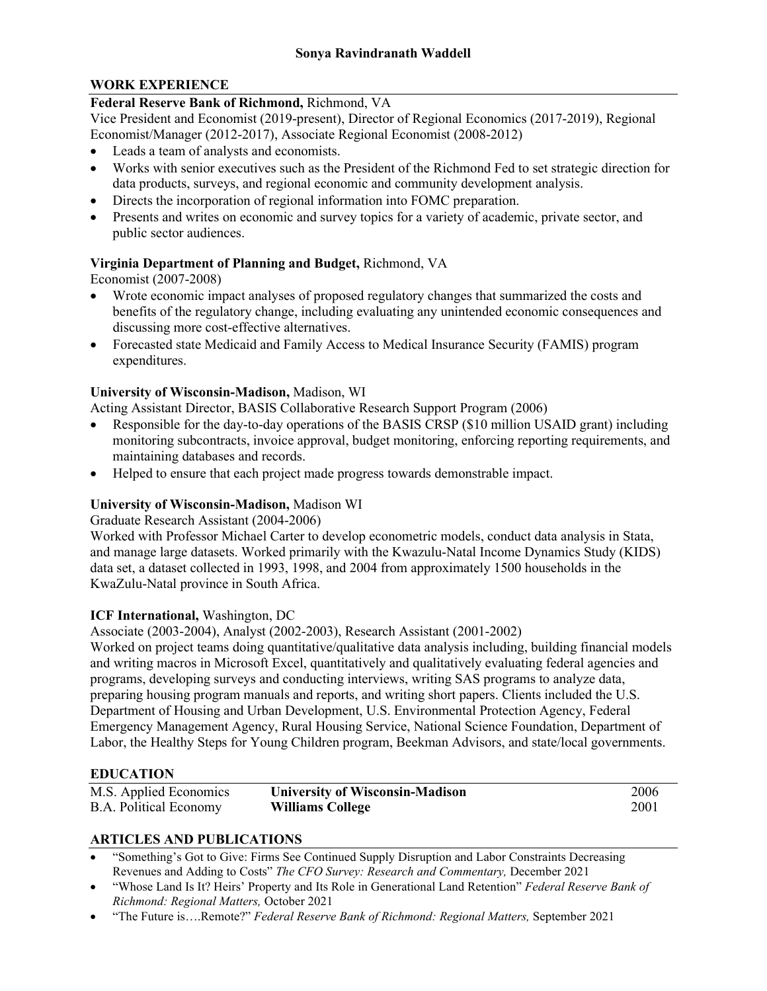# **WORK EXPERIENCE**

#### **Federal Reserve Bank of Richmond,** Richmond, VA

Vice President and Economist (2019-present), Director of Regional Economics (2017-2019), Regional Economist/Manager (2012-2017), Associate Regional Economist (2008-2012)

- Leads a team of analysts and economists.
- Works with senior executives such as the President of the Richmond Fed to set strategic direction for data products, surveys, and regional economic and community development analysis.
- Directs the incorporation of regional information into FOMC preparation.
- Presents and writes on economic and survey topics for a variety of academic, private sector, and public sector audiences.

# **Virginia Department of Planning and Budget,** Richmond, VA

Economist (2007-2008)

- Wrote economic impact analyses of proposed regulatory changes that summarized the costs and benefits of the regulatory change, including evaluating any unintended economic consequences and discussing more cost-effective alternatives.
- Forecasted state Medicaid and Family Access to Medical Insurance Security (FAMIS) program expenditures.

#### **University of Wisconsin-Madison,** Madison, WI

Acting Assistant Director, BASIS Collaborative Research Support Program (2006)

- Responsible for the day-to-day operations of the BASIS CRSP (\$10 million USAID grant) including monitoring subcontracts, invoice approval, budget monitoring, enforcing reporting requirements, and maintaining databases and records.
- Helped to ensure that each project made progress towards demonstrable impact.

### **University of Wisconsin-Madison,** Madison WI

Graduate Research Assistant (2004-2006)

Worked with Professor Michael Carter to develop econometric models, conduct data analysis in Stata, and manage large datasets. Worked primarily with the Kwazulu-Natal Income Dynamics Study (KIDS) data set, a dataset collected in 1993, 1998, and 2004 from approximately 1500 households in the KwaZulu-Natal province in South Africa.

### **ICF International,** Washington, DC

Associate (2003-2004), Analyst (2002-2003), Research Assistant (2001-2002)

Worked on project teams doing quantitative/qualitative data analysis including, building financial models and writing macros in Microsoft Excel, quantitatively and qualitatively evaluating federal agencies and programs, developing surveys and conducting interviews, writing SAS programs to analyze data, preparing housing program manuals and reports, and writing short papers. Clients included the U.S. Department of Housing and Urban Development, U.S. Environmental Protection Agency, Federal Emergency Management Agency, Rural Housing Service, National Science Foundation, Department of Labor, the Healthy Steps for Young Children program, Beekman Advisors, and state/local governments.

### **EDUCATION**

| M.S. Applied Economics        | <b>University of Wisconsin-Madison</b> | 2006 |
|-------------------------------|----------------------------------------|------|
| <b>B.A. Political Economy</b> | <b>Williams College</b>                | 2001 |

### **ARTICLES AND PUBLICATIONS**

- "Something's Got to Give: Firms See Continued Supply Disruption and Labor Constraints Decreasing Revenues and Adding to Costs" *The CFO Survey: Research and Commentary,* December 2021
- "Whose Land Is It? Heirs' Property and Its Role in Generational Land Retention" *Federal Reserve Bank of Richmond: Regional Matters,* October 2021
- "The Future is….Remote?" *Federal Reserve Bank of Richmond: Regional Matters,* September 2021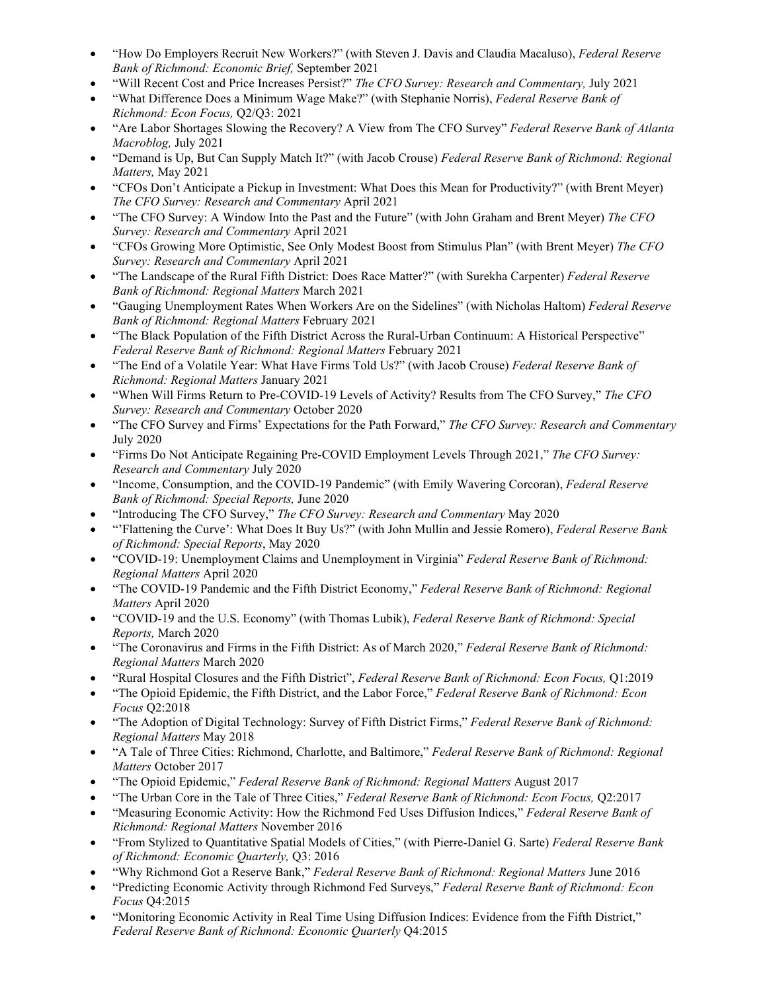- "How Do Employers Recruit New Workers?" (with Steven J. Davis and Claudia Macaluso), *Federal Reserve Bank of Richmond: Economic Brief,* September 2021
- "Will Recent Cost and Price Increases Persist?" *The CFO Survey: Research and Commentary,* July 2021
- "What Difference Does a Minimum Wage Make?" (with Stephanie Norris), *Federal Reserve Bank of Richmond: Econ Focus,* Q2/Q3: 2021
- "Are Labor Shortages Slowing the Recovery? A View from The CFO Survey" *Federal Reserve Bank of Atlanta Macroblog,* July 2021
- "Demand is Up, But Can Supply Match It?" (with Jacob Crouse) *Federal Reserve Bank of Richmond: Regional Matters,* May 2021
- "CFOs Don't Anticipate a Pickup in Investment: What Does this Mean for Productivity?" (with Brent Meyer) *The CFO Survey: Research and Commentary* April 2021
- "The CFO Survey: A Window Into the Past and the Future" (with John Graham and Brent Meyer) *The CFO Survey: Research and Commentary* April 2021
- "CFOs Growing More Optimistic, See Only Modest Boost from Stimulus Plan" (with Brent Meyer) *The CFO Survey: Research and Commentary* April 2021
- "The Landscape of the Rural Fifth District: Does Race Matter?" (with Surekha Carpenter) *Federal Reserve Bank of Richmond: Regional Matters* March 2021
- "Gauging Unemployment Rates When Workers Are on the Sidelines" (with Nicholas Haltom) *Federal Reserve Bank of Richmond: Regional Matters* February 2021
- "The Black Population of the Fifth District Across the Rural-Urban Continuum: A Historical Perspective" *Federal Reserve Bank of Richmond: Regional Matters* February 2021
- "The End of a Volatile Year: What Have Firms Told Us?" (with Jacob Crouse) *Federal Reserve Bank of Richmond: Regional Matters* January 2021
- "When Will Firms Return to Pre-COVID-19 Levels of Activity? Results from The CFO Survey," *The CFO Survey: Research and Commentary* October 2020
- "The CFO Survey and Firms' Expectations for the Path Forward," *The CFO Survey: Research and Commentary*  July 2020
- "Firms Do Not Anticipate Regaining Pre-COVID Employment Levels Through 2021," *The CFO Survey: Research and Commentary* July 2020
- "Income, Consumption, and the COVID-19 Pandemic" (with Emily Wavering Corcoran), *Federal Reserve Bank of Richmond: Special Reports,* June 2020
- "Introducing The CFO Survey," *The CFO Survey: Research and Commentary* May 2020
- "'Flattening the Curve': What Does It Buy Us?" (with John Mullin and Jessie Romero), *Federal Reserve Bank of Richmond: Special Reports*, May 2020
- "COVID-19: Unemployment Claims and Unemployment in Virginia" *Federal Reserve Bank of Richmond: Regional Matters* April 2020
- "The COVID-19 Pandemic and the Fifth District Economy," *Federal Reserve Bank of Richmond: Regional Matters* April 2020
- "COVID-19 and the U.S. Economy" (with Thomas Lubik), *Federal Reserve Bank of Richmond: Special Reports,* March 2020
- "The Coronavirus and Firms in the Fifth District: As of March 2020," *Federal Reserve Bank of Richmond: Regional Matters* March 2020
- "Rural Hospital Closures and the Fifth District", *Federal Reserve Bank of Richmond: Econ Focus,* Q1:2019
- "The Opioid Epidemic, the Fifth District, and the Labor Force," *Federal Reserve Bank of Richmond: Econ Focus* Q2:2018
- "The Adoption of Digital Technology: Survey of Fifth District Firms," *Federal Reserve Bank of Richmond: Regional Matters* May 2018
- "A Tale of Three Cities: Richmond, Charlotte, and Baltimore," *Federal Reserve Bank of Richmond: Regional Matters* October 2017
- "The Opioid Epidemic," *Federal Reserve Bank of Richmond: Regional Matters* August 2017
- "The Urban Core in the Tale of Three Cities," *Federal Reserve Bank of Richmond: Econ Focus,* Q2:2017
- "Measuring Economic Activity: How the Richmond Fed Uses Diffusion Indices," *Federal Reserve Bank of Richmond: Regional Matters* November 2016
- "From Stylized to Quantitative Spatial Models of Cities," (with Pierre-Daniel G. Sarte) *Federal Reserve Bank of Richmond: Economic Quarterly,* Q3: 2016
- "Why Richmond Got a Reserve Bank," *Federal Reserve Bank of Richmond: Regional Matters* June 2016
- "Predicting Economic Activity through Richmond Fed Surveys," *Federal Reserve Bank of Richmond: Econ Focus* Q4:2015
- "Monitoring Economic Activity in Real Time Using Diffusion Indices: Evidence from the Fifth District," *Federal Reserve Bank of Richmond: Economic Quarterly* Q4:2015